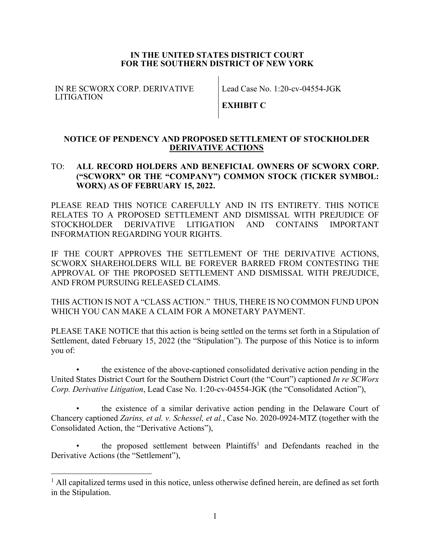## **IN THE UNITED STATES DISTRICT COURT FOR THE SOUTHERN DISTRICT OF NEW YORK**

IN RE SCWORX CORP. DERIVATIVE LITIGATION

Lead Case No. 1:20-cv-04554-JGK

**EXHIBIT C**

## **NOTICE OF PENDENCY AND PROPOSED SETTLEMENT OF STOCKHOLDER DERIVATIVE ACTIONS**

# TO: **ALL RECORD HOLDERS AND BENEFICIAL OWNERS OF SCWORX CORP. ("SCWORX" OR THE "COMPANY") COMMON STOCK (TICKER SYMBOL: WORX) AS OF FEBRUARY 15, 2022.**

PLEASE READ THIS NOTICE CAREFULLY AND IN ITS ENTIRETY. THIS NOTICE RELATES TO A PROPOSED SETTLEMENT AND DISMISSAL WITH PREJUDICE OF STOCKHOLDER DERIVATIVE LITIGATION AND CONTAINS IMPORTANT INFORMATION REGARDING YOUR RIGHTS.

IF THE COURT APPROVES THE SETTLEMENT OF THE DERIVATIVE ACTIONS, SCWORX SHAREHOLDERS WILL BE FOREVER BARRED FROM CONTESTING THE APPROVAL OF THE PROPOSED SETTLEMENT AND DISMISSAL WITH PREJUDICE, AND FROM PURSUING RELEASED CLAIMS.

THIS ACTION IS NOT A "CLASS ACTION." THUS, THERE IS NO COMMON FUND UPON WHICH YOU CAN MAKE A CLAIM FOR A MONETARY PAYMENT.

PLEASE TAKE NOTICE that this action is being settled on the terms set forth in a Stipulation of Settlement, dated February 15, 2022 (the "Stipulation"). The purpose of this Notice is to inform you of:

• the existence of the above-captioned consolidated derivative action pending in the United States District Court for the Southern District Court (the "Court") captioned *In re SCWorx Corp. Derivative Litigation*, Lead Case No. 1:20-cv-04554-JGK (the "Consolidated Action"),

the existence of a similar derivative action pending in the Delaware Court of Chancery captioned *Zarins, et al. v. Schessel, et al.*, Case No. 2020-0924-MTZ (together with the Consolidated Action, the "Derivative Actions"),

the proposed settlement between Plaintiffs<sup>1</sup> and Defendants reached in the Derivative Actions (the "Settlement"),

 $<sup>1</sup>$  All capitalized terms used in this notice, unless otherwise defined herein, are defined as set forth</sup> in the Stipulation.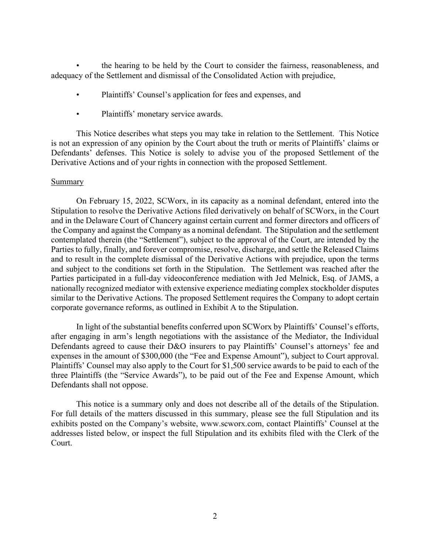• the hearing to be held by the Court to consider the fairness, reasonableness, and adequacy of the Settlement and dismissal of the Consolidated Action with prejudice,

- Plaintiffs' Counsel's application for fees and expenses, and
- Plaintiffs' monetary service awards.

This Notice describes what steps you may take in relation to the Settlement. This Notice is not an expression of any opinion by the Court about the truth or merits of Plaintiffs' claims or Defendants' defenses. This Notice is solely to advise you of the proposed Settlement of the Derivative Actions and of your rights in connection with the proposed Settlement.

### Summary

On February 15, 2022, SCWorx, in its capacity as a nominal defendant, entered into the Stipulation to resolve the Derivative Actions filed derivatively on behalf of SCWorx, in the Court and in the Delaware Court of Chancery against certain current and former directors and officers of the Company and against the Company as a nominal defendant. The Stipulation and the settlement contemplated therein (the "Settlement"), subject to the approval of the Court, are intended by the Parties to fully, finally, and forever compromise, resolve, discharge, and settle the Released Claims and to result in the complete dismissal of the Derivative Actions with prejudice, upon the terms and subject to the conditions set forth in the Stipulation. The Settlement was reached after the Parties participated in a full-day videoconference mediation with Jed Melnick, Esq. of JAMS, a nationally recognized mediator with extensive experience mediating complex stockholder disputes similar to the Derivative Actions. The proposed Settlement requires the Company to adopt certain corporate governance reforms, as outlined in Exhibit A to the Stipulation.

In light of the substantial benefits conferred upon SCWorx by Plaintiffs' Counsel's efforts, after engaging in arm's length negotiations with the assistance of the Mediator, the Individual Defendants agreed to cause their D&O insurers to pay Plaintiffs' Counsel's attorneys' fee and expenses in the amount of \$300,000 (the "Fee and Expense Amount"), subject to Court approval. Plaintiffs' Counsel may also apply to the Court for \$1,500 service awards to be paid to each of the three Plaintiffs (the "Service Awards"), to be paid out of the Fee and Expense Amount, which Defendants shall not oppose.

This notice is a summary only and does not describe all of the details of the Stipulation. For full details of the matters discussed in this summary, please see the full Stipulation and its exhibits posted on the Company's website, www.scworx.com, contact Plaintiffs' Counsel at the addresses listed below, or inspect the full Stipulation and its exhibits filed with the Clerk of the Court.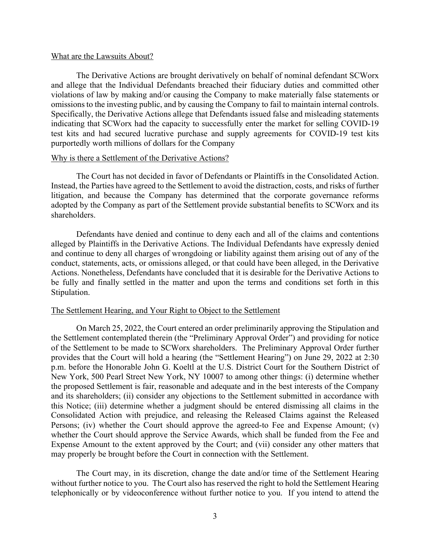#### What are the Lawsuits About?

The Derivative Actions are brought derivatively on behalf of nominal defendant SCWorx and allege that the Individual Defendants breached their fiduciary duties and committed other violations of law by making and/or causing the Company to make materially false statements or omissions to the investing public, and by causing the Company to fail to maintain internal controls. Specifically, the Derivative Actions allege that Defendants issued false and misleading statements indicating that SCWorx had the capacity to successfully enter the market for selling COVID-19 test kits and had secured lucrative purchase and supply agreements for COVID-19 test kits purportedly worth millions of dollars for the Company

### Why is there a Settlement of the Derivative Actions?

The Court has not decided in favor of Defendants or Plaintiffs in the Consolidated Action. Instead, the Parties have agreed to the Settlement to avoid the distraction, costs, and risks of further litigation, and because the Company has determined that the corporate governance reforms adopted by the Company as part of the Settlement provide substantial benefits to SCWorx and its shareholders.

Defendants have denied and continue to deny each and all of the claims and contentions alleged by Plaintiffs in the Derivative Actions. The Individual Defendants have expressly denied and continue to deny all charges of wrongdoing or liability against them arising out of any of the conduct, statements, acts, or omissions alleged, or that could have been alleged, in the Derivative Actions. Nonetheless, Defendants have concluded that it is desirable for the Derivative Actions to be fully and finally settled in the matter and upon the terms and conditions set forth in this Stipulation.

### The Settlement Hearing, and Your Right to Object to the Settlement

On March 25, 2022, the Court entered an order preliminarily approving the Stipulation and the Settlement contemplated therein (the "Preliminary Approval Order") and providing for notice of the Settlement to be made to SCWorx shareholders. The Preliminary Approval Order further provides that the Court will hold a hearing (the "Settlement Hearing") on June 29, 2022 at 2:30 p.m. before the Honorable John G. Koeltl at the U.S. District Court for the Southern District of New York, 500 Pearl Street New York, NY 10007 to among other things: (i) determine whether the proposed Settlement is fair, reasonable and adequate and in the best interests of the Company and its shareholders; (ii) consider any objections to the Settlement submitted in accordance with this Notice; (iii) determine whether a judgment should be entered dismissing all claims in the Consolidated Action with prejudice, and releasing the Released Claims against the Released Persons; (iv) whether the Court should approve the agreed-to Fee and Expense Amount; (v) whether the Court should approve the Service Awards, which shall be funded from the Fee and Expense Amount to the extent approved by the Court; and (vii) consider any other matters that may properly be brought before the Court in connection with the Settlement.

The Court may, in its discretion, change the date and/or time of the Settlement Hearing without further notice to you. The Court also has reserved the right to hold the Settlement Hearing telephonically or by videoconference without further notice to you. If you intend to attend the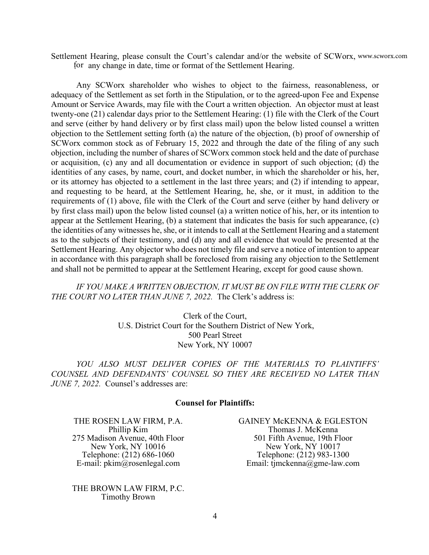Settlement Hearing, please consult the Court's calendar and/or the website of SCWorx, www.scworx.com for any change in date, time or format of the Settlement Hearing.

Any SCWorx shareholder who wishes to object to the fairness, reasonableness, or adequacy of the Settlement as set forth in the Stipulation, or to the agreed-upon Fee and Expense Amount or Service Awards, may file with the Court a written objection. An objector must at least twenty-one (21) calendar days prior to the Settlement Hearing: (1) file with the Clerk of the Court and serve (either by hand delivery or by first class mail) upon the below listed counsel a written objection to the Settlement setting forth (a) the nature of the objection, (b) proof of ownership of SCWorx common stock as of February 15, 2022 and through the date of the filing of any such objection, including the number of shares of SCWorx common stock held and the date of purchase or acquisition, (c) any and all documentation or evidence in support of such objection; (d) the identities of any cases, by name, court, and docket number, in which the shareholder or his, her, or its attorney has objected to a settlement in the last three years; and (2) if intending to appear, and requesting to be heard, at the Settlement Hearing, he, she, or it must, in addition to the requirements of (1) above, file with the Clerk of the Court and serve (either by hand delivery or by first class mail) upon the below listed counsel (a) a written notice of his, her, or its intention to appear at the Settlement Hearing, (b) a statement that indicates the basis for such appearance, (c) the identities of any witnesses he, she, or it intends to call at the Settlement Hearing and a statement as to the subjects of their testimony, and (d) any and all evidence that would be presented at the Settlement Hearing. Any objector who does not timely file and serve a notice of intention to appear in accordance with this paragraph shall be foreclosed from raising any objection to the Settlement and shall not be permitted to appear at the Settlement Hearing, except for good cause shown.

IF YOU MAKE A WRITTEN OBJECTION, IT MUST BE ON FILE WITH THE CLERK OF *THE COURT NO LATER THAN JUNE 7, 2022.* The Clerk's address is:

> Clerk of the Court, U.S. District Court for the Southern District of New York, 500 Pearl Street New York, NY 10007

*YOU ALSO MUST DELIVER COPIES OF THE MATERIALS TO PLAINTIFFS' COUNSEL AND DEFENDANTS' COUNSEL SO THEY ARE RECEIVED NO LATER THAN JUNE 7, 2022.* Counsel's addresses are:

## **Counsel for Plaintiffs:**

THE ROSEN LAW FIRM, P.A. Phillip Kim 275 Madison Avenue, 40th Floor New York, NY 10016 Telephone: (212) 686-1060 E-mail: pkim@rosenlegal.com

THE BROWN LAW FIRM, P.C. Timothy Brown

GAINEY McKENNA & EGLESTON Thomas J. McKenna 501 Fifth Avenue, 19th Floor New York, NY 10017 Telephone: (212) 983-1300 Email: tjmckenna@gme-law.com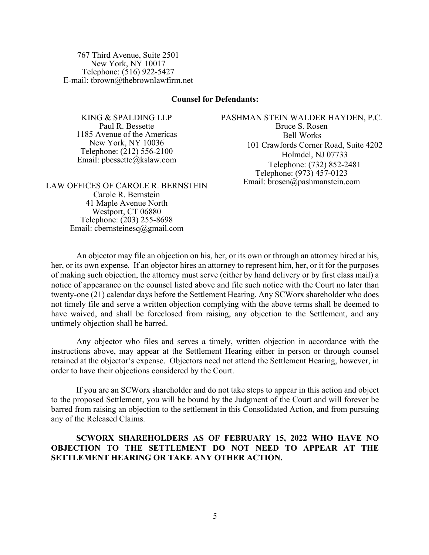767 Third Avenue, Suite 2501 New York, NY 10017 Telephone: (516) 922-5427 E-mail: tbrown@thebrownlawfirm.net

#### **Counsel for Defendants:**

KING & SPALDING LLP Paul R. Bessette 1185 Avenue of the Americas New York, NY 10036 Telephone: (212) 556-2100 Email: pbessette@kslaw.com PASHMAN STEIN WALDER HAYDEN, P.C. Bruce S. Rosen Bell Works 101 Crawfords Corner Road, Suite 4202 Holmdel, NJ 07733 Telephone: (732) 852-2481 Telephone: (973) 457-0123 Email: brosen@pashmanstein.com

LAW OFFICES OF CAROLE R. BERNSTEIN Carole R. Bernstein 41 Maple Avenue North Westport, CT 06880 Telephone: (203) 255-8698 Email: cbernsteinesq@gmail.com

An objector may file an objection on his, her, or its own or through an attorney hired at his, her, or its own expense. If an objector hires an attorney to represent him, her, or it for the purposes of making such objection, the attorney must serve (either by hand delivery or by first class mail) a notice of appearance on the counsel listed above and file such notice with the Court no later than twenty-one (21) calendar days before the Settlement Hearing. Any SCWorx shareholder who does not timely file and serve a written objection complying with the above terms shall be deemed to have waived, and shall be foreclosed from raising, any objection to the Settlement, and any untimely objection shall be barred.

Any objector who files and serves a timely, written objection in accordance with the instructions above, may appear at the Settlement Hearing either in person or through counsel retained at the objector's expense. Objectors need not attend the Settlement Hearing, however, in order to have their objections considered by the Court.

If you are an SCWorx shareholder and do not take steps to appear in this action and object to the proposed Settlement, you will be bound by the Judgment of the Court and will forever be barred from raising an objection to the settlement in this Consolidated Action, and from pursuing any of the Released Claims.

**SCWORX SHAREHOLDERS AS OF FEBRUARY 15, 2022 WHO HAVE NO OBJECTION TO THE SETTLEMENT DO NOT NEED TO APPEAR AT THE SETTLEMENT HEARING OR TAKE ANY OTHER ACTION.**